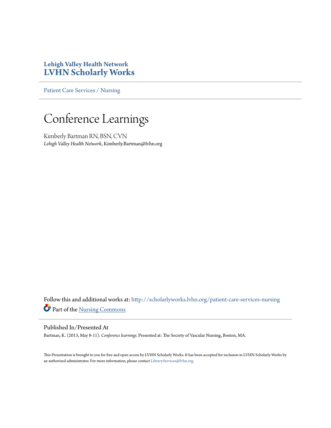#### **Lehigh Valley Health Network [LVHN Scholarly Works](http://scholarlyworks.lvhn.org?utm_source=scholarlyworks.lvhn.org%2Fpatient-care-services-nursing%2F278&utm_medium=PDF&utm_campaign=PDFCoverPages)**

[Patient Care Services / Nursing](http://scholarlyworks.lvhn.org/patient-care-services-nursing?utm_source=scholarlyworks.lvhn.org%2Fpatient-care-services-nursing%2F278&utm_medium=PDF&utm_campaign=PDFCoverPages)

#### Conference Learnings

Kimberly Bartman RN, BSN, CVN *Lehigh Valley Health Network*, Kimberly.Bartman@lvhn.org

Follow this and additional works at: [http://scholarlyworks.lvhn.org/patient-care-services-nursing](http://scholarlyworks.lvhn.org/patient-care-services-nursing?utm_source=scholarlyworks.lvhn.org%2Fpatient-care-services-nursing%2F278&utm_medium=PDF&utm_campaign=PDFCoverPages) Part of the [Nursing Commons](http://network.bepress.com/hgg/discipline/718?utm_source=scholarlyworks.lvhn.org%2Fpatient-care-services-nursing%2F278&utm_medium=PDF&utm_campaign=PDFCoverPages)

#### Published In/Presented At

Bartman, K. (2013, May 8-11). *Conference learnings.* Presented at: The Society of Vascular Nursing, Boston, MA.

This Presentation is brought to you for free and open access by LVHN Scholarly Works. It has been accepted for inclusion in LVHN Scholarly Works by an authorized administrator. For more information, please contact [LibraryServices@lvhn.org](mailto:LibraryServices@lvhn.org).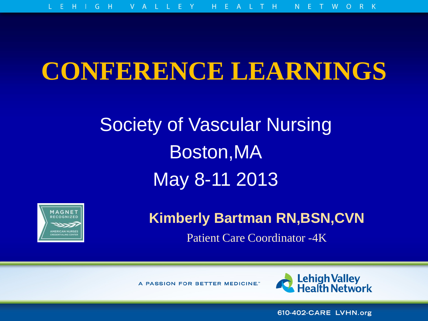#### **CONFERENCE LEARNINGS**

### Society of Vascular Nursing Boston,MA May 8-11 2013



**Kimberly Bartman RN,BSN,CVN**

Patient Care Coordinator -4K

A PASSION FOR BETTER MEDICINE."



610-402-CARE LVHN.org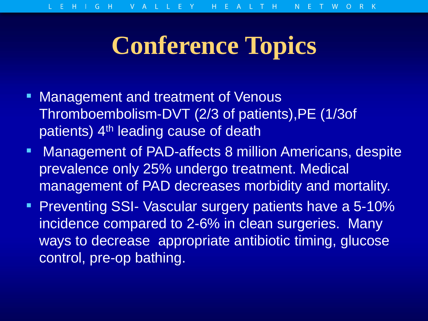### **Conference Topics**

- **EXET** Management and treatment of Venous Thromboembolism-DVT (2/3 of patients),PE (1/3of patients) 4<sup>th</sup> leading cause of death
- **Management of PAD-affects 8 million Americans, despite** prevalence only 25% undergo treatment. Medical management of PAD decreases morbidity and mortality.
- **Preventing SSI- Vascular surgery patients have a 5-10%** incidence compared to 2-6% in clean surgeries. Many ways to decrease appropriate antibiotic timing, glucose control, pre-op bathing.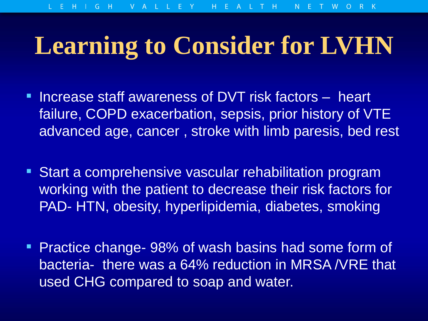## **Learning to Consider for LVHN**

- **EXTERGED INCREASE STAFF AWARE INCREASE OF DVT risk factors heart** failure, COPD exacerbation, sepsis, prior history of VTE advanced age, cancer , stroke with limb paresis, bed rest
- **EXTE: Start a comprehensive vascular rehabilitation program** working with the patient to decrease their risk factors for PAD- HTN, obesity, hyperlipidemia, diabetes, smoking
- **Practice change- 98% of wash basins had some form of** bacteria- there was a 64% reduction in MRSA /VRE that used CHG compared to soap and water.